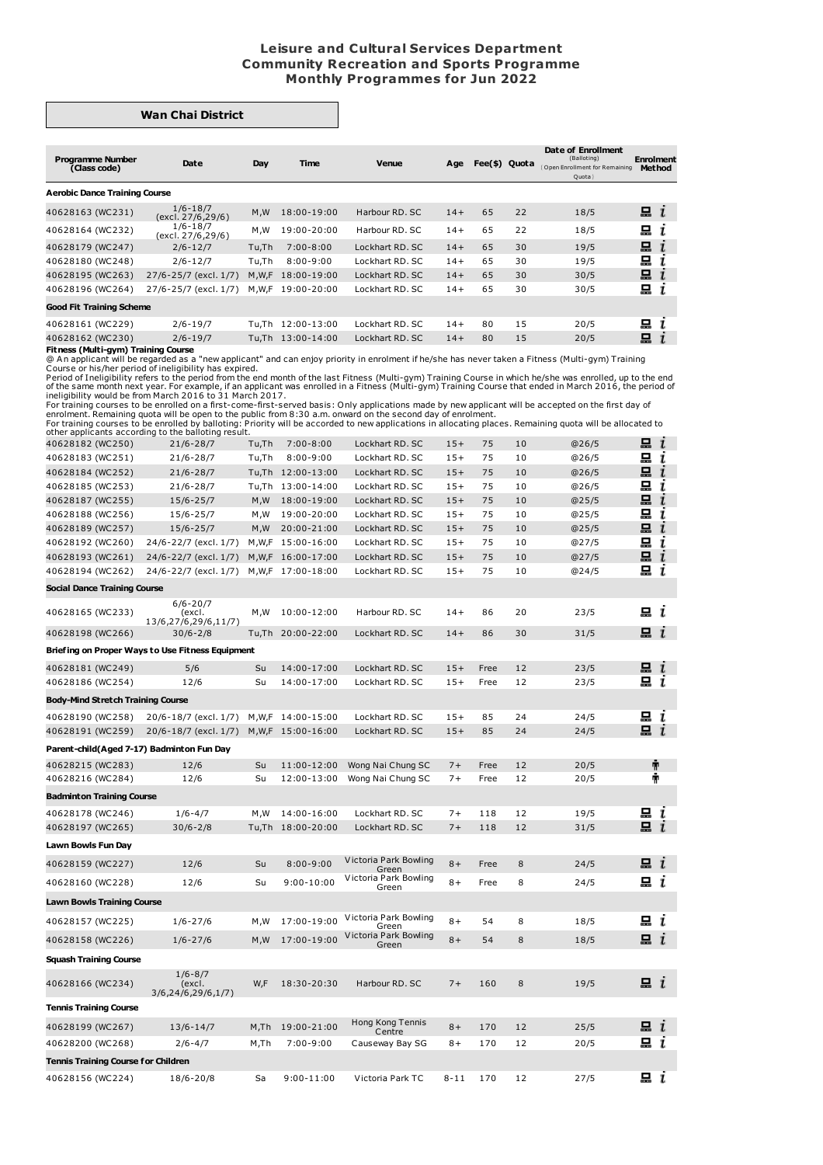## **Leisure and Cultural Services Department Community Recreation and Sports Programme Monthly Programmes for Jun 2022**

## **Wan Chai District**

| <b>Programme Number</b><br>(Class code) | Date                              | Day   | Time               | <b>Venue</b>    | Age   | Fee(\$) Quota |    | Date of Enrollment<br>(Balloting)<br>Open Enrollment for Remaining<br>Quota | <b>Enrolment</b><br><b>Method</b> |
|-----------------------------------------|-----------------------------------|-------|--------------------|-----------------|-------|---------------|----|-----------------------------------------------------------------------------|-----------------------------------|
| <b>Aerobic Dance Training Course</b>    |                                   |       |                    |                 |       |               |    |                                                                             |                                   |
| 40628163 (WC231)                        | $1/6 - 18/7$<br>(excl. 27/6,29/6) | M,W   | 18:00-19:00        | Harbour RD, SC  | $14+$ | 65            | 22 | 18/5                                                                        | $\blacksquare$ $i$                |
| 40628164 (WC232)                        | $1/6 - 18/7$<br>(excl. 27/6,29/6) | M,W   | 19:00-20:00        | Harbour RD, SC  | $14+$ | 65            | 22 | 18/5                                                                        | 묘<br>ı                            |
| 40628179 (WC247)                        | $2/6 - 12/7$                      | Tu,Th | $7:00 - 8:00$      | Lockhart RD, SC | $14+$ | 65            | 30 | 19/5                                                                        | 묘<br>$\mathbf{r}$                 |
| 40628180 (WC248)                        | $2/6 - 12/7$                      | Tu,Th | $8:00 - 9:00$      | Lockhart RD, SC | $14+$ | 65            | 30 | 19/5                                                                        | 묘                                 |
| 40628195 (WC263)                        | 27/6-25/7 (excl. 1/7)             | M.W.F | 18:00-19:00        | Lockhart RD, SC | $14+$ | 65            | 30 | 30/5                                                                        | 묘                                 |
| 40628196 (WC264)                        | 27/6-25/7 (excl. 1/7)             | M,W,F | 19:00-20:00        | Lockhart RD, SC | $14+$ | 65            | 30 | 30/5                                                                        | 묘                                 |
| <b>Good Fit Training Scheme</b>         |                                   |       |                    |                 |       |               |    |                                                                             |                                   |
| 40628161 (WC229)                        | $2/6 - 19/7$                      | Tu.Th | 12:00-13:00        | Lockhart RD, SC | $14+$ | 80            | 15 | 20/5                                                                        | 묘<br>ı                            |
| 40628162 (WC230)                        | $2/6 - 19/7$                      |       | Tu, Th 13:00-14:00 | Lockhart RD, SC | $14+$ | 80            | 15 | 20/5                                                                        | 묘                                 |
| Fitness (Multi-avm) Training Course     |                                   |       |                    |                 |       |               |    |                                                                             |                                   |

**Fitness (Multi-gym) Training Course**<br>
Course or his/her peraced as a "new applicant" and can enjoy priority in enrolment if he/she has never taken a Fitness (Multi-gym) Training<br>
@An applicant will be regarded as a "new a

| $-$                                        |                                                  |          |                            |                                        |              |              |          |              |                    |  |
|--------------------------------------------|--------------------------------------------------|----------|----------------------------|----------------------------------------|--------------|--------------|----------|--------------|--------------------|--|
| 40628182 (WC250)                           | $21/6 - 28/7$                                    | Tu,Th    | $7:00 - 8:00$              | Lockhart RD. SC                        | $15+$        | 75           | 10       | @26/5        | 묘<br>$\mathbf{r}$  |  |
| 40628183 (WC251)                           | $21/6 - 28/7$                                    | Tu,Th    | $8:00 - 9:00$              | Lockhart RD. SC                        | $15+$        | 75           | 10       | @26/5        | 됴<br>ι             |  |
| 40628184 (WC252)                           | $21/6 - 28/7$                                    |          | Tu, Th 12:00-13:00         | Lockhart RD. SC                        | $15+$        | 75           | 10       | @26/5        | 묘<br>$\mathbf{I}$  |  |
| 40628185 (WC253)                           | $21/6 - 28/7$                                    |          | Tu, Th 13:00-14:00         | Lockhart RD. SC                        | $15+$        | 75           | 10       | @26/5        | 묘<br>ı             |  |
| 40628187 (WC255)                           | $15/6 - 25/7$                                    | M, W     | 18:00-19:00                | Lockhart RD. SC                        | $15+$        | 75           | 10       | @25/5        | 묘<br>$\mathbf{r}$  |  |
| 40628188 (WC256)                           | $15/6 - 25/7$                                    | M,W      | 19:00-20:00                | Lockhart RD. SC                        | $15+$        | 75           | 10       | @25/5        | 됴<br>ı             |  |
| 40628189 (WC257)                           | $15/6 - 25/7$                                    | M,W      | 20:00-21:00                | Lockhart RD. SC                        | $15+$        | 75           | 10       | @25/5        | 묘<br>ī             |  |
| 40628192 (WC260)                           | 24/6-22/7 (excl. 1/7)                            |          | M, W, F 15:00-16:00        | Lockhart RD. SC                        | $15+$        | 75           | 10       | @27/5        | 묘<br>ı             |  |
| 40628193 (WC261)                           | 24/6-22/7 (excl. 1/7)                            |          | M, W, F 16:00-17:00        | Lockhart RD. SC                        | $15+$        | 75           | 10       | @27/5        | 묘<br>$\mathbf{I}$  |  |
| 40628194 (WC262)                           | 24/6-22/7 (excl. 1/7)                            |          | M, W, F 17:00-18:00        | Lockhart RD. SC                        | $15+$        | 75           | 10       | @24/5        | 묘 i                |  |
| <b>Social Dance Training Course</b>        |                                                  |          |                            |                                        |              |              |          |              |                    |  |
| 40628165 (WC233)                           | $6/6 - 20/7$<br>(excl.<br>13/6,27/6,29/6,11/7)   | M, W     | 10:00-12:00                | Harbour RD. SC                         | $14 +$       | 86           | 20       | 23/5         | вi                 |  |
| 40628198 (WC266)                           | $30/6 - 2/8$                                     |          | Tu,Th 20:00-22:00          | Lockhart RD. SC                        | $14+$        | 86           | 30       | 31/5         | $\Xi$ i            |  |
|                                            | Briefing on Proper Ways to Use Fitness Equipment |          |                            |                                        |              |              |          |              |                    |  |
| 40628181 (WC249)                           | 5/6                                              | Su       | 14:00-17:00                | Lockhart RD. SC                        | $15+$        | Free         | 12       | 23/5         | 묘 $i$              |  |
| 40628186 (WC254)                           | 12/6                                             | Su       | 14:00-17:00                | Lockhart RD. SC                        | $15+$        | Free         | 12       | 23/5         | æι                 |  |
| <b>Body-Mind Stretch Training Course</b>   |                                                  |          |                            |                                        |              |              |          |              |                    |  |
| 40628190 (WC258)                           | 20/6-18/7 (excl. 1/7)                            | M,W,F    | 14:00-15:00                | Lockhart RD. SC                        | $15+$        | 85           | 24       | 24/5         | … …                |  |
| 40628191 (WC259)                           | 20/6-18/7 (excl. 1/7)                            |          | M, W, F 15:00-16:00        | Lockhart RD. SC                        | $15+$        | 85           | 24       | 24/5         | 묘 $i$              |  |
|                                            | Parent-child(Aged 7-17) Badminton Fun Day        |          |                            |                                        |              |              |          |              |                    |  |
|                                            |                                                  |          |                            |                                        |              |              |          |              |                    |  |
| 40628215 (WC283)<br>40628216 (WC284)       | 12/6<br>12/6                                     | Su<br>Su | 11:00-12:00<br>12:00-13:00 | Wong Nai Chung SC<br>Wong Nai Chung SC | $7+$<br>$7+$ | Free<br>Free | 12<br>12 | 20/5<br>20/5 | Ť<br>Ť             |  |
|                                            |                                                  |          |                            |                                        |              |              |          |              |                    |  |
| <b>Badminton Training Course</b>           |                                                  |          |                            |                                        |              |              |          |              |                    |  |
| 40628178 (WC246)                           | $1/6 - 4/7$                                      | M,W      | 14:00-16:00                | Lockhart RD. SC                        | $7+$         | 118          | 12       | 19/5         | $\Xi$ i            |  |
| 40628197 (WC265)                           | $30/6 - 2/8$                                     |          | Tu,Th 18:00-20:00          | Lockhart RD. SC                        | $7+$         | 118          | 12       | 31/5         | ݐ                  |  |
| Lawn Bowls Fun Day                         |                                                  |          |                            |                                        |              |              |          |              |                    |  |
| 40628159 (WC227)                           | 12/6                                             | Su       | $8:00 - 9:00$              | Victoria Park Bowling<br>Green         | $8+$         | Free         | 8        | 24/5         | $\mathbf{a}$ i     |  |
| 40628160 (WC228)                           | 12/6                                             | Su       | $9:00 - 10:00$             | Victoria Park Bowling<br>Green         | $8+$         | Free         | 8        | 24/5         | 묘 i                |  |
| <b>Lawn Bowls Training Course</b>          |                                                  |          |                            |                                        |              |              |          |              |                    |  |
| 40628157 (WC225)                           | $1/6 - 27/6$                                     | M,W      | 17:00-19:00                | Victoria Park Bowling                  | $8+$         | 54           | 8        | 18/5         | m i                |  |
|                                            |                                                  | M, W     | 17:00-19:00                | Green<br>Victoria Park Bowling         |              |              | 8        |              | $\Xi$ i            |  |
| 40628158 (WC226)                           | $1/6 - 27/6$                                     |          |                            | Green                                  | $8+$         | 54           |          | 18/5         |                    |  |
| Squash Training Course                     |                                                  |          |                            |                                        |              |              |          |              |                    |  |
| 40628166 (WC234)                           | $1/6 - 8/7$<br>(excl.<br>3/6, 24/6, 29/6, 1/7)   | W,F      | 18:30-20:30                | Harbour RD. SC                         | $7+$         | 160          | 8        | 19/5         | ݐ                  |  |
| <b>Tennis Training Course</b>              |                                                  |          |                            |                                        |              |              |          |              |                    |  |
| 40628199 (WC267)                           | $13/6 - 14/7$                                    | M,Th     | 19:00-21:00                | Hong Kong Tennis<br>Centre             | $8+$         | 170          | 12       | 25/5         | $\blacksquare$ $i$ |  |
| 40628200 (WC268)                           |                                                  |          |                            | Causeway Bay SG                        | $8+$         | 170          | 12       | 20/5         | $\blacksquare$ $i$ |  |
|                                            | $2/6 - 4/7$                                      | M, Th    | 7:00-9:00                  |                                        |              |              |          |              |                    |  |
| <b>Tennis Training Course for Children</b> |                                                  |          |                            |                                        |              |              |          |              |                    |  |